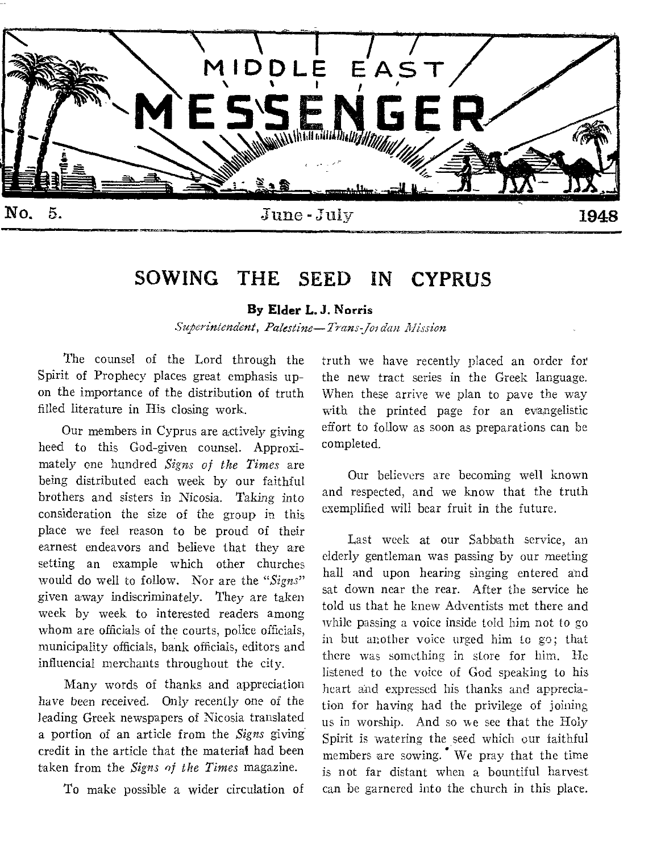

# SOWING THE SEED IN CYPRUS

#### By Elder L. J. Norris

*Superintendent, Palestine—Trans-Joldan Mission* 

The counsel of the Lord through the Spirit of Prophecy places great emphasis upon the importance of the distribution of truth filled literature in His closing work.

Our members in Cyprus are actively giving heed to this God-given counsel. Approximately one hundred *Signs of the Times* are being distributed each week by our faithful brothers and sisters in Nicosia. Taking into consideration the size of the group in this place we feel reason to be proud of their earnest endeavors and believe that they are setting an example which other churches would do well to follow. Nor are the *"Signs"*  given away indiscriminately. They are taken week by week to interested readers among whom are officials of the courts, police officials, municipality officials, bank officials, editors and influencial merchants throughout the city.

Many words of thanks and appreciation have been received. Only recently one of the leading Greek newspapers of Nicosia translated a portion of an article from the *Signs* giving credit in the article that the material had been taken from the *Signs of the Times* magazine.

To make possible a wider circulation of

truth we have recently placed an order for the new tract series in the Greek language. When these arrive we plan to pave the way with the printed page for an evangelistic effort to follow as soon as preparations can be completed.

Our believers are becoming well known and respected, and we know that the truth exemplified will bear fruit in the future.

Last week at our Sabbath service, an elderly gentleman was passing by our meeting hall and upon hearing singing entered and sat down near the rear. After the service he told us that he knew Adventists met there and while passing a voice inside told him not to go in but another voice urged him to go; that there was something in store for him. He listened to the voice of God speaking to his heart and expressed his thanks and appreciation for having had the privilege of joining us in worship. And so we see that the Holy Spirit is watering the seed which our faithful members are sowing. We pray that the time is not far distant when a bountiful harvest can be garnered into the church in this place.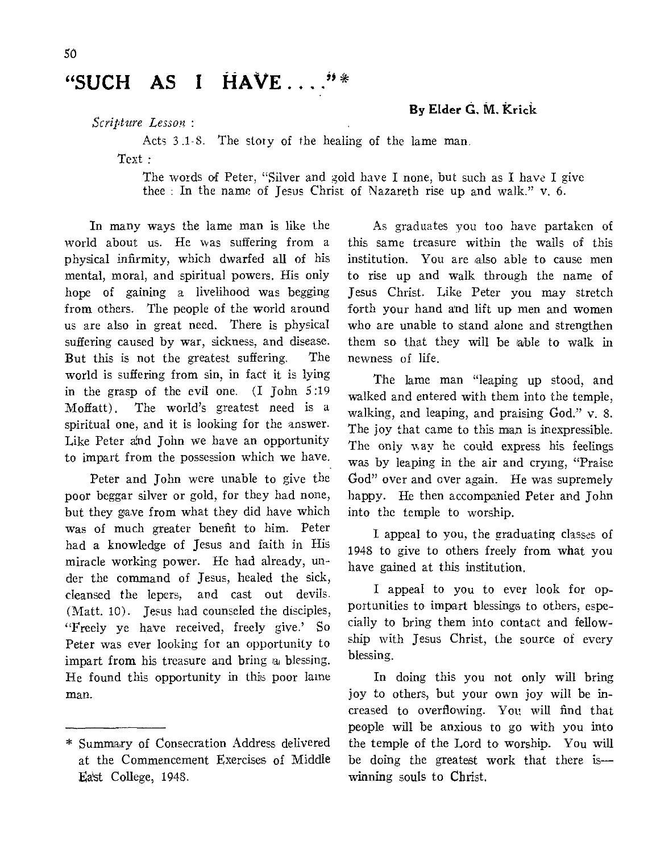# "SUCH AS I HAVE ...."\*

*Scripture Lesson :* 

#### By Elder G. M. Krick

Acts 3 .1-8. The story of the healing of the lame man.

Text :

The words of Peter, "Silver and gold have I none, but such as I have I give thee : In the name of Jesus Christ of Nazareth rise up and walk." v. 6.

In many ways the lame man is like the world about us. He was suffering from a physical infirmity, which dwarfed all of his mental, moral, and spiritual powers. His only hope of gaining a livelihood was begging from others. The people of the world around us are also in great need. There is physical suffering caused by war, sickness, and disease. But this is not the greatest suffering. The world is suffering from sin, in fact it is lying in the grasp of the evil one. (I John 5:19 Moffatt). The world's greatest need is a spiritual one, and it is looking for the answer. Like Peter and John we have an opportunity to impart from the possession which we have.

Peter and John were unable to give the poor beggar silver or gold, for they had none, but they gave from what they did have which was of much greater benefit to him. Peter had a knowledge of Jesus and faith in His miracle working power. He had already, under the command of Jesus, healed the sick, cleansed the lepers, and cast out devils. (Matt. 10). Tesus had counseled the disciples, "Freely ye have received, freely give.' So Peter was ever looking for an opportunity to impart from his treasure and bring  $a_i$  blessing. He found this opportunity in this poor lame man.

As graduates you too have partaken of this same treasure within the walls of this institution. You are also able to cause men to rise up and walk through the name of Jesus Christ. Like Peter you may stretch forth your hand and lift up men and women who are unable to stand alone and strengthen them so that they will be able to walk in newness of life.

The lame man "leaping up stood, and walked and entered with them into the temple. walking, and leaping, and praising God." v. 8. The joy that came to this man is inexpressible. The only way he could express his feelings was by leaping in the air and crying, "Praise God" over and over again. He was supremely happy. He then accompanied Peter and John into the temple to worship.

I appeal to you, the graduating classes of 1948 to give to others freely from what you have gained at this institution.

I appeal to you to ever look for opportunities to impart blessings to others, especially to bring them into contact and fellowship with Jesus Christ, the source of every blessing.

In doing this you not only will bring joy to others, but your own joy will be increased to overflowing. You will find that people will be anxious to go with you into the temple of the Lord to worship. You will be doing the greatest work that there is winning souls to Christ.

<sup>\*</sup> Summary of Consecration Address delivered at the Commencement Exercises of Middle East College, 1948.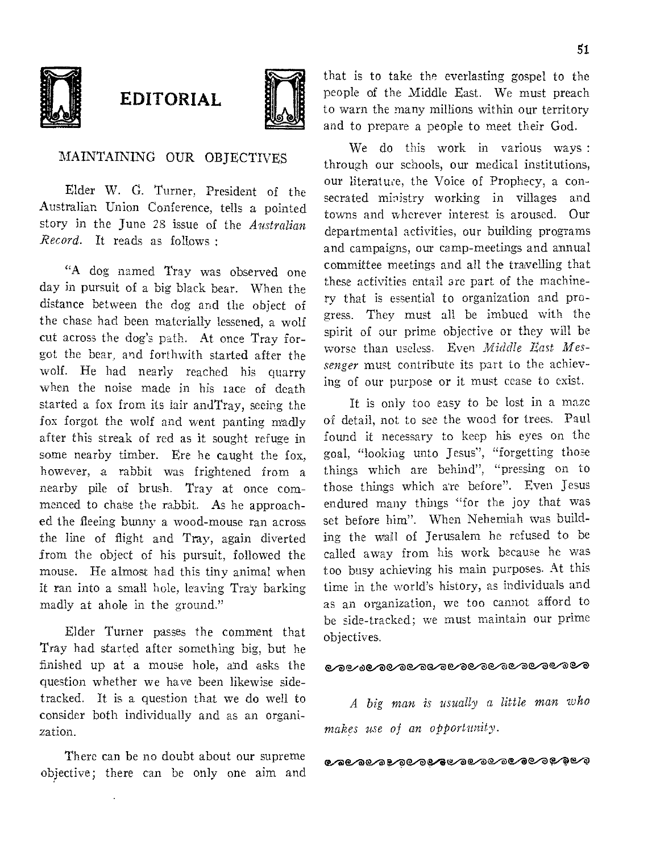

# **EDITORIAL**



#### MAINTAINING OUR OBJECTIVES

Elder W. G. Turner, President of the Australian Union Conference, tells a pointed story in the June 28 issue of the *Australian Record.* It reads as follows :

"A dog named Tray was observed one day in pursuit of a big black bear. When the distance between the dog and the object of the chase had been materially lessened, a wolf cut across the dog's path. At once Tray forgot the bear, and forthwith started after the wolf. He had nearly reached his quarry when the noise made in his lace of death started a fox from its lair andTray, seeing the fox forgot the wolf and went panting madly after this streak of red as it sought refuge in some nearby timber. Ere he caught the fox, however, a rabbit was frightened from a nearby pile of brush. Tray at once commenced to chase the rabbit. As he approached the fleeing bunny a wood-mouse ran across the line of flight and Tray, again diverted from the object of his pursuit, followed the mouse. He almost had this tiny animal when it ran into a small hole, leaving Tray barking madly at ahole in the ground."

Elder Turner passes the comment that Tray had started after something big, but he finished up at a mouse hole, and asks the question whether we have been likewise sidetracked. It is a question that we do well to consider both individually and as an organization.

There can be no doubt about our supreme objective; there can be only one aim and that is to take the everlasting gospel to the people of the Middle East. We must preach to warn the many millions within our territory and to prepare a people to meet their God.

We do this work in various ways : through our schools, our medical institutions, our literature, the Voice of Prophecy, a consecrated ministry working in villages and towns and wherever interest is aroused. Our departmental activities, our building programs and campaigns, our camp-meetings and annual committee meetings and all the travelling that these activities entail are part of the machinery that is essential to organization and progress. They must all be imbued with the spirit of our prime objective or they will be worse than useless. Even *Middle East Messenger* must contribute its part to the achieving of our purpose or it must cease to exist.

It is only too easy to be lost in a maze of detail, not to see the wood for trees. Paul found it necessary to keep his eyes on the goal, "looking unto Jesus", "forgetting those things which are behind", "pressing on to those things which are before". Even Jesus endured many things "for the joy that was set before him". When Nehemiah was building the wail of Jerusalem he refused to be called away from his work because he was too busy achieving his main purposes. At this time in the world's history, as individuals and as an organization, we too cannot afford to be side-tracked; we must maintain our prime objectives.

#### &&&&&&&&&&&&&&&&&&&

*A big man is usually a little man who makes use of an opportunity.* 

*IR./a* a/a era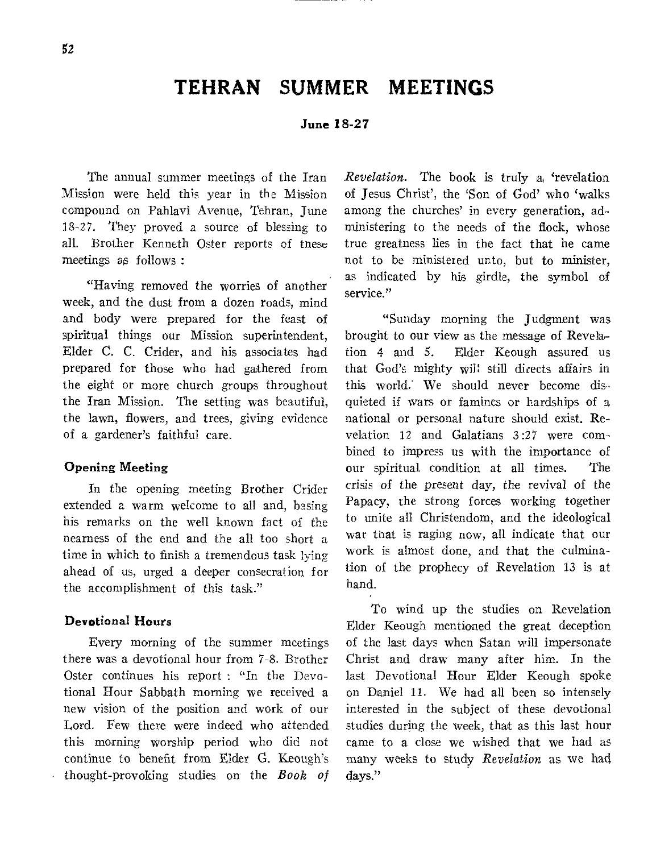# **TEHRAN SUMMER MEETINGS**

#### **June 18-27**

The annual summer meetings of the Iran Mission were held this year in the Mission compound on Pahlavi Avenue, Tehran, June 18-27. They proved a source of blessing to all. Brother Kenneth Oster reports of these meetings as follows :

"Having removed the worries of another week, and the dust from a dozen roads, mind and body were prepared for the feast of spiritual things our Mission superintendent, Elder C. C. Crider, and his associates had prepared for those who had gathered from the eight or more church groups throughout the Iran Mission. The setting was beautiful, the lawn, flowers, and trees, giving evidence of a gardener's faithful care.

#### Opening Meeting

In the opening meeting Brother Crider extended a warm welcome to all and, basing his remarks on the well known fact of the nearness of the end and the all too short a time in which to finish a tremendous task lying ahead of us, urged a deeper consecration for the accomplishment of this task."

## Devotional Hours

Every morning of the summer meetings there was a devotional hour from 7-8. Brother Oster continues his report : "In the Devotional Hour Sabbath morning we received a new vision of the position and work of our Lord. Few there were indeed who attended this morning worship period who did not continue to benefit from Elder G. Keough's thought-provoking studies on the *Book of*  *Revelation.* The book is truly a, 'revelation of Jesus Christ', the 'Son of God' who 'walks among the churches' in every generation, administering to the needs of the flock, whose true greatness lies in the fact that he came not to be ministered unto, but to minister, as indicated by his girdle, the symbol of service."

"Sunday morning the Judgment was brought to our view as the message of Revelation 4 and 5. Elder Keough assured us that God's mighty will still directs affairs in this world. We should never become disquieted if wars or famines or hardships of a national or personal nature should exist. Revelation 12 and Galatians 3:27 were combined to impress us with the importance of our spiritual condition at all times. The *crisis* of the present day, the revival of the Papacy, the strong forces working together to unite all Christendom, and the ideological war that is raging now, all indicate that our work is almost done, and that the culmination of the prophecy of Revelation 13 is at hand.

To wind up the studies on Revelation Elder Keough mentioned the great deception of the last days when Satan will impersonate Christ and draw many after him. In the last Devotional Hour Elder Keough spoke on Daniel 11. We had all been so intensely interested in the subject of these devotional studies during the week, that as this last hour came to a close we wished that we had as many weeks to study *Revelation* as we had days."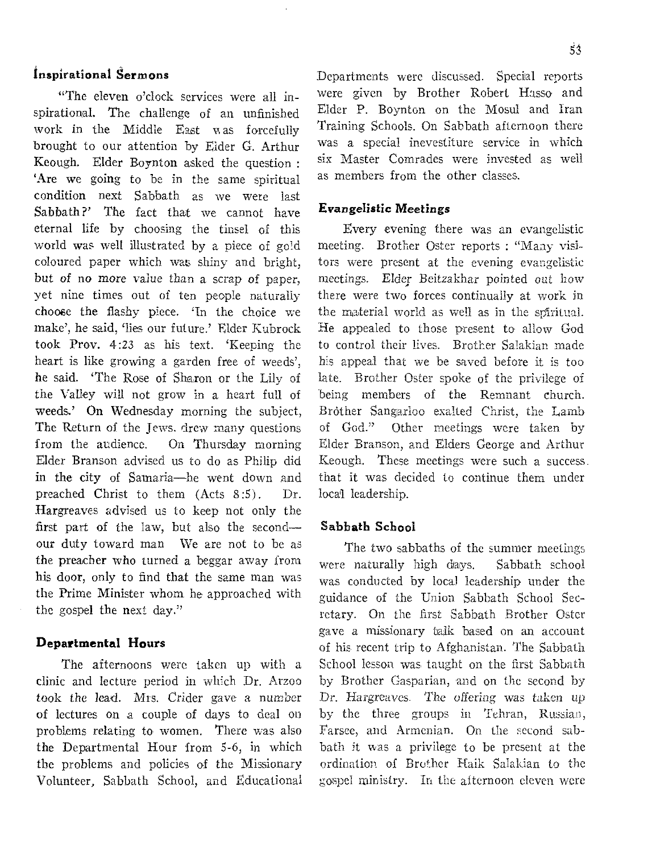## inspirational Sermons

"The eleven o'clock services were all inspirational. The challenge of an unfinished work in the Middle East was forcefully brought to our attention by Eider G. Arthur Keough. Elder Boynton asked the question : `Are we going to be in the same spiritual condition next Sabbath as we were last Sabbath?' The fact that we cannot have eternal life by choosing the tinsel of this world was well illustrated by a piece of gold coloured paper which was shiny and bright, but *of no* more value than a scrap of *paper,*  yet nine times out of ten people naturally choose the flashy piece. 'In the choice we make', he said, 'lies our future.' Elder Kubrock took Prov. 4:23 as his text. 'Keeping the heart is like growing a garden free of weeds', he said. 'The Rose of Sharon or the Lily of the Valley will not grow in a heart full of weeds.' On Wednesday morning the subject, The Return of the Jews, drew many questions from the audience. On Thursday morning Elder Branson advised us to do as Philip did in the city of Samaria—he went down and preached Christ to them (Acts 8:5). Dr. Hargreaves advised us to keep not only the first part of the law, but also the second our duty toward man We are not to be as the preacher who turned a beggar away from his door, only to find that the *same man* was the Prime Minister whom he approached with the gospel the next day."

#### Departmental Hours

The afternoons were taken up with a clinic and lecture period in which Dr. Arzoo took the lead. Mrs. *Crider gave a number*  of lectures on a couple of days to deal on problems relating to women. There was also the Departmental Hour from 5-6, in which the problems and policies of the Missionary Volunteer, Sabbath School, and Educational Departments were discussed. Special reports were given by Brother Robert Hasso and Elder P. Boynton on the Mosul and Iran Training Schools. On Sabbath afternoon there was a special inevestiture service in which six Master Comrades were invested as well as members from the other classes.

#### *Evangelistic Meetings*

Every evening there was an evangelistic meeting. Brother Oster reports : "Many visitors were present at the evening evangelistic meetings. Elder Beitzakhar pointed out how there were two forces continually at work in the material world as well as in the spiritual. He appealed to those present to allow God to control their lives. Brother Salakian made his appeal that we be saved before it is too late. Brother Oster spoke of the privilege of being members of the Remnant church. Brother Sangarloo exalted Christ, the Lamb of God." Other meetings were taken by Elder Branson, and Elders George and Arthur Keough. These meetings were such a success. that it was decided to continue them under local leadership.

#### Sabbath School

The two sabbaths of the summer meetings were naturally high days. Sabbath school was conducted by local leadership under the guidance of the Union Sabbath School Secretary. On the first Sabbath Brother Oster gave a missionary talk based on an account of his recent trip to Afghanistan. The Sabbath School lesson was taught on the first Sabbath by Brother Gasparian, and on the second by Dr. Hargreaves. *The offering was* taken up by the three groups in Tehran, Russian, Parsee, and Armenian. On the second sabbath it was a privilege to be present at the ordination of Brother Haik Salakian to the gospel ministry. In the afternoon eleven were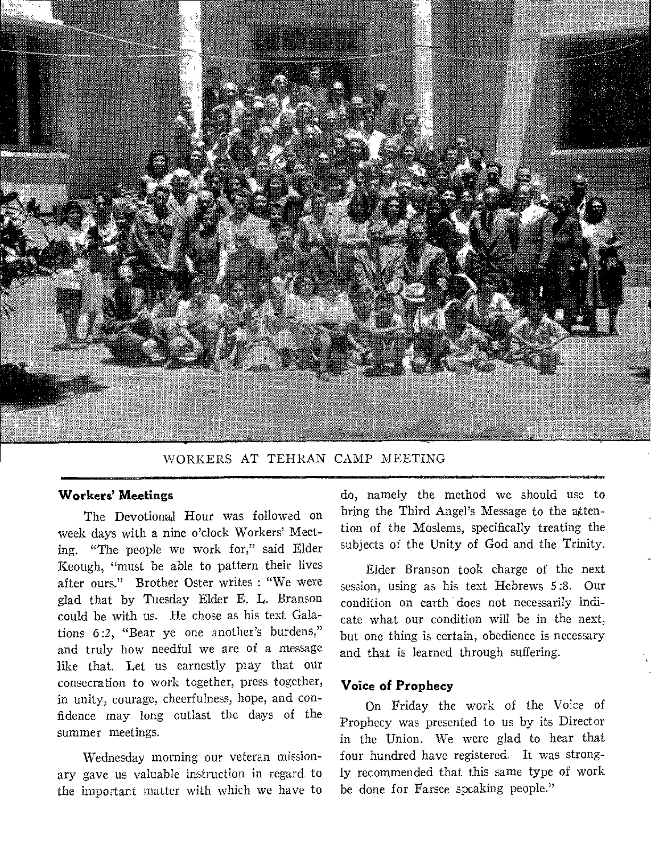

WORKERS AT TEHRAN CAMP MEETING

## **Workers' Meetings**

The Devotional Hour was followed on week days with a nine o'clock Workers' Meeting. "The people we work for," said Elder Keough, "must be able to pattern their lives after ours." Brother Oster writes : "We were glad that by Tuesday Elder E. L. Branson could be with us. He chose as his text Galations 6:2, "Bear ye one another's burdens," and truly how needful we are of a message like that. Let us earnestly play that our consecration to work together, press together, in unity, courage, cheerfulness, hope, and confidence may long outlast the days of the summer meetings.

Wednesday morning our veteran missionary gave us valuable instruction in regard to the important matter with which we have to

do, namely the method we should use to bring the Third Angel's Message to the attention of the Moslems, specifically treating the subjects of the Unity of God and the Trinity.

Elder Branson took charge of the next session, using as his text Hebrews 5:8. Our condition on earth does not necessarily indicate what our condition will be in the next, but one thing is certain, obedience is necessary and that is learned through suffering.

#### **Voice of Prophecy**

On Friday the work of the Voice of Prophecy was presented to us by its Director in the Union. We were glad to hear that four hundred have registered. It was strongly recommended that this same type of work be done for Farsee speaking people."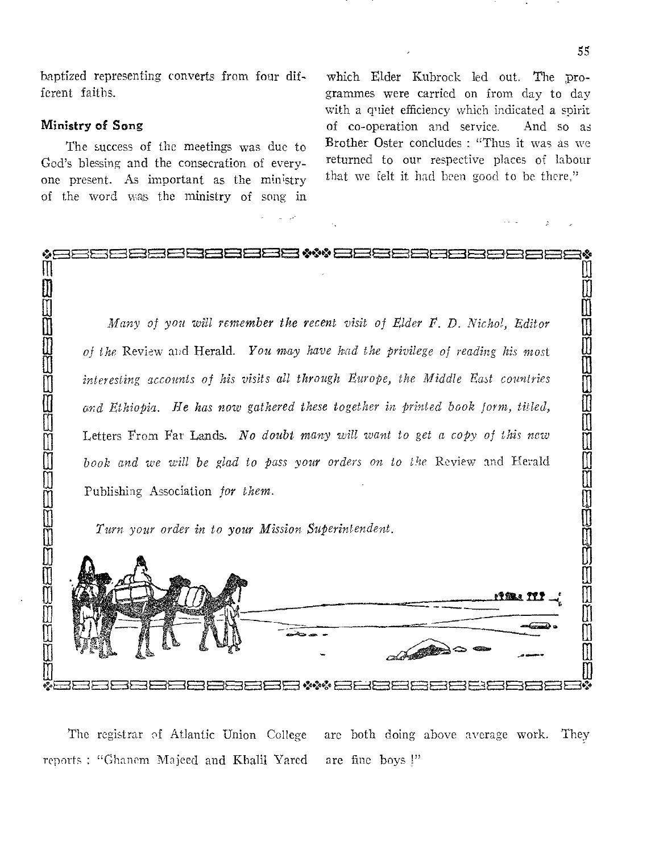baptized representing converts from four different faiths.

#### *Ministry* **of Song**

The success of the meetings was due to God's blessing and the consecration of everyone **present.** As important as the ministry of the **word was** the ministry of song in

which Elder Kubrock led out. The programmes were carried on from day to day with a quiet efficiency **which indicated a spirit**  of co-operation and **service. And so as**  Brother Oster concludes **"Thus it was as we**  returned to our respective places **of labour**  that we felt it had been **good to be there,"** 

*Many of you will remember the recent visit of Elder F. D. Nichol, Editor of the* **Review** and Herald. You *may have had the privilege of reading his most interesting accounts of his visits all through Europe, the Middle East countries and Ethiopia. He has now gathered these together in printed book form, titled,*  fl **Letters From** Far **Lands.** *No doubt many will want to get a copy of this new book and we will be glad to pass your orders on to the* Review and Herald El Publishing **Association** *for them.*  Turn your order in to your Mission Superintendent.

1.:417=c2 FF. 3 FEZiEE3 **EMBEE3 • k:4Ea3MMFR EalE3Ea EE3** 



**The registrar of Atlantic Union College are both doing above average work. They reports : "Ghanem Majeed** and Khalil **Yared**  *are* fine **boys !"** 

LB

w

m.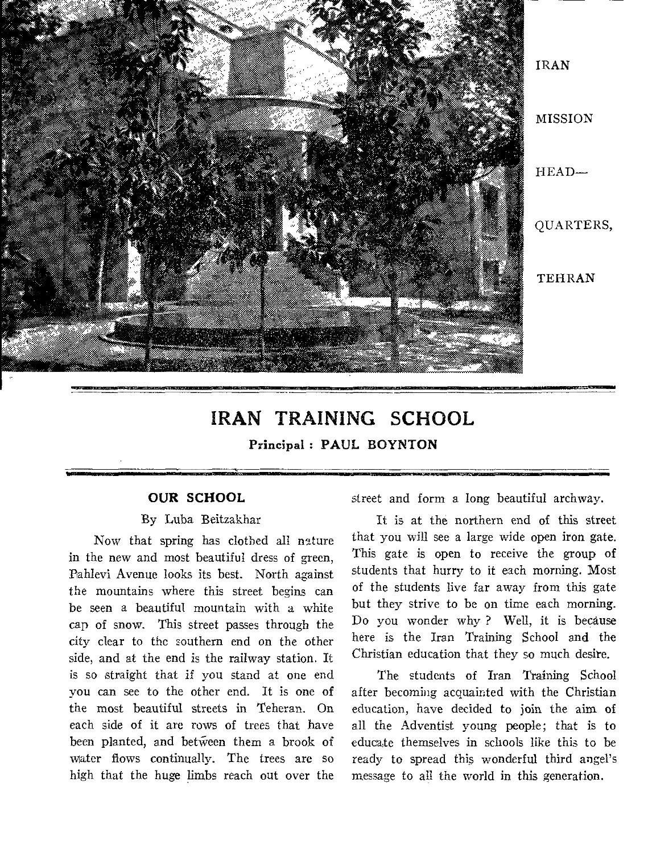

# **IRAN TRAINING SCHOOL**

**Principal : PAUL BOYNTON** 

## OUR SCHOOL

#### By Luba Beitzakhar

Now that spring has clothed all nature in the new and most beautiful dress of green, Pahlevi Avenue looks its best. North against the mountains where this street begins can be seen a beautiful mountain with a white cap of snow. This street passes through the city clear to the southern end on the other side, and at the end is the railway station. It is so straight that if you stand at one end you can see to the other end. It is one of the most beautiful streets in Teheran. On each side of it are rows of trees that have been planted, and between them a brook of water flows continually. The trees are so high that the huge limbs reach out over the street and form a long beautiful archway.

It is at the northern end of this street that you will see a large wide open iron gate. This gate is open to receive the group of students that hurry to it each morning. Most of the students live far away from this gate but they strive to be on time each morning. Do you wonder why ? Well, it is because here is the Iran Training School and the Christian education that they so much desire.

The students of Iran Training School after becoming acquainted with the Christian education, have decided to join the aim of all the Adventist young people; that is to educate themselves in schools like this to be ready to spread this wonderful third angel's message to all the world in this generation.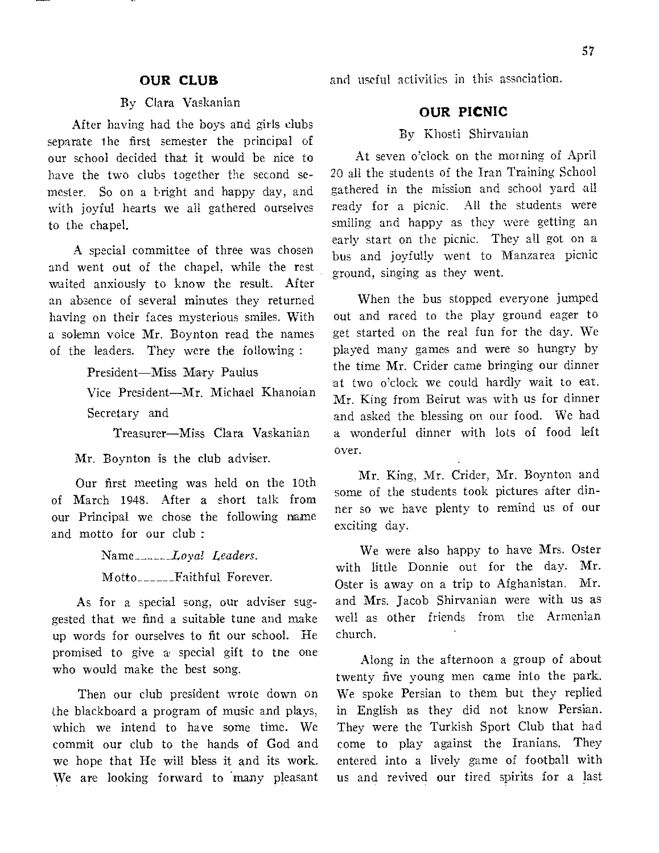## **OUR CLUB**

#### By Clara Vaskanian

After having had the boys and girls clubs separate the first semester the principal of our school decided that it would be nice to have the two clubs together the second semester. So on a bright and happy day, and with joyful hearts we all gathered ourselves to the chapel.

A special committee of three was chosen and went out of the chapel, while the rest waited anxiously to know the result. After an absence of several minutes they returned having on their faces mysterious smiles. With a solemn voice Mr. Boynton read the names of the leaders. They were the following :

> President—Miss Mary Paulus Vice President—Mr. Michael Khanoian Secretary and

> > Treasurer—Miss Clara Vaskanian

Mr. Boynton is the club adviser.

Our first meeting was held on the 10th of March 1948. After a short talk from our Principal we chose the following name and motto for our club :

> Name *Loyal Leaders.*  Motto------Faithful Forever.

As for a special song, our adviser suggested that we find a suitable tune and make up words for ourselves to fit our school. He promised to give a special gift to tne one who would make the best song.

Then our club president wrote down on the blackboard a program of music and plays, which we intend to have some time. We commit our club to the hands of God and we hope that He will bless it and its work. We are looking forward to many pleasant and useful activities in this association.

#### **OUR PICNIC**

By Khosti Shirvanian

At seven o'clock on the morning of April 20 all the students of the Iran Training School gathered in the mission and school yard all ready for a picnic. All the students were smiling and happy as they were getting an early start on the picnic. They all got on a bus and joyfully went to Manzarea picnic ground, singing as they went.

When the bus stopped everyone jumped out and raced to the play ground eager to get started on the real fun for the day. We played many games and were so hungry by the time Mr. Crider came bringing our dinner at two o'clock we could hardly wait to eat. Mr. King from Beirut was with us for dinner and asked the blessing on our food. We had a wonderful dinner with lots of food left over.

Mr. King, Mr. Crider, Mr. Boynton and some of the students took pictures after dinner so we have plenty to remind us of our exciting day.

*We* were also happy to have Mrs. Oster with little Donnie out for the day. Mr. Oster is away on a trip to Afghanistan. Mr. and Mrs. Jacob Shirvanian were with us as well as other friends from the Armenian church.

Along in the afternoon a group of about twenty five young men came into the park. We spoke Persian to them but they replied in English as they did not know Persian. They were the Turkish Sport Club that had come to play against the Iranians. They entered into a lively game of football with us and revived our tired spirits for a last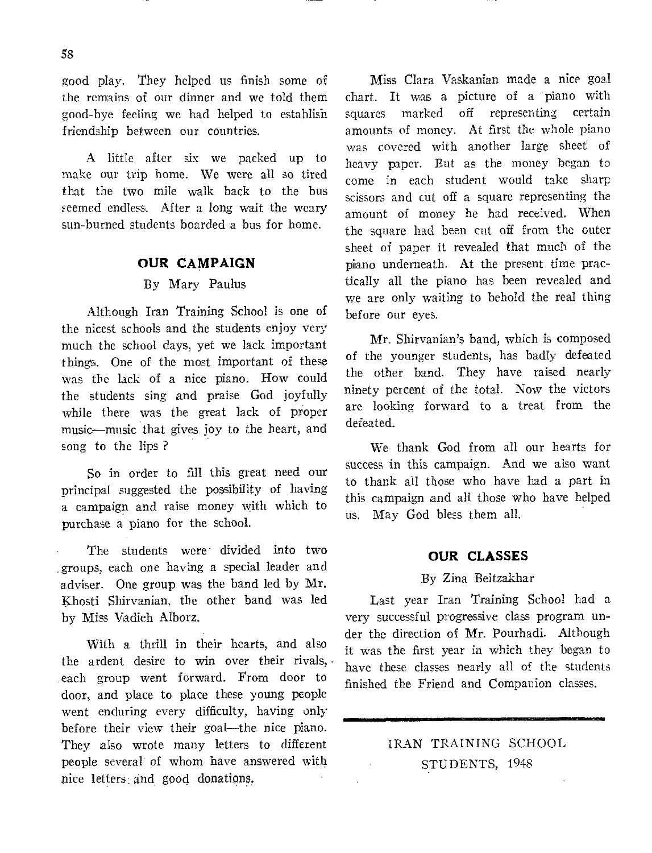good play. They helped us finish some of the remains of our dinner and we told them good-bye feeling we had helped to establish friendship between our countries.

A little after six we packed up to make our trip home. We were all so tired that the two mile walk back to the bus seemed endless. After a long wait the weary sun-burned students boarded a bus for home.

## **OUR CAMPAIGN**

## By Mary Paulus

Although Iran Training School is one of the nicest schools and the students enjoy very much the school days, yet we lack important things. One of the most important of these was the lack of a nice piano. How could the students sing and praise God joyfully while there was the great lack of proper music—music that gives joy to the heart, and song to the lips ?

So in order to fill this great need our principal suggested the possibility of having a campaign and raise money with which to purchase a piano for the school.

The students were divided into two groups, each one having a special leader and adviser. One group was the band led by Mr. Khosti Shirvanian, the other band was led by Miss Vadieh Alborz.

With a thrill in their hearts, and also the ardent desire to win over their rivals, each group went forward. From door to door, and place to place these young people went enduring every difficulty, having only before their view their goal—the nice piano. They also wrote many letters to different people several of whom have answered with nice letters: and good donations.

Miss Clara Vaskanian made a nice goal chart. It was a picture of a piano with squares marked off representing certain amounts of money. At first the whole piano was covered with another large sheet of heavy paper. But as the money began to come in each student would take sharp scissors and cut off a square representing the amount of money he had received. When the square had been cut off from the outer sheet of paper it revealed that much of the piano underneath. At the present time practically all the piano has been revealed and we are only waiting to behold the real thing before our eyes.

Mr. Shirvanian's band, which is composed of the younger students, has badly defeated the other band. They have raised nearly ninety percent of the total. Now the victors are looking forward to a treat from the defeated.

We thank God from all our hearts for success in this campaign. And we also want to thank all those who have had a part in this campaign and all those who have helped us. May God bless them all.

#### **OUR CLASSES**

#### By Zina Beitzakhar

Last year Iran Training School had a very successful progressive class program under the direction of Mr. Pourhadi. Although it was the first year in which they began to have these classes nearly all of the students finished the Friend and Companion classes.

# IRAN TRAINING SCHOOL STUDENTS, 1948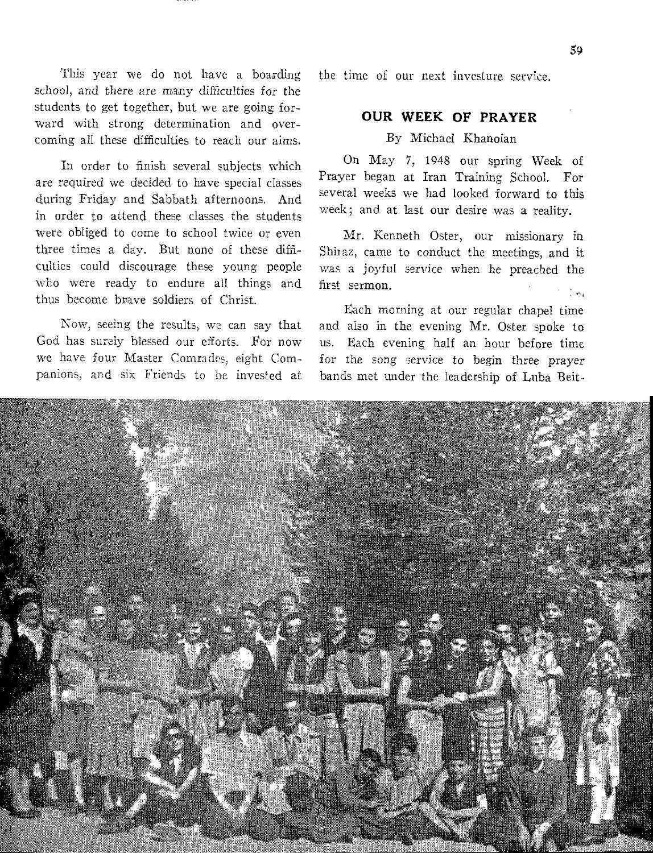This year we do not have a boarding school, and there are *many* difficulties for the students to get together, but we are going forward with strong determination and overcoming all these difficulties to reach our aims.

In order to finish several subjects which are required we decided to have special classes during Friday and Sabbath afternoons. And in order to attend these classes the students were obliged to come to school twice or *even*  three times a day. But none of these difficulties could discourage these young people who were ready to endure all things and thus become brave soldiers of Christ.

Now, seeing the results, we can say that God has surely blessed our efforts. For now we have four Master Comrades, eight Companions, and six Friends to be invested at the time of our next investure service.

# OUR WEEK OF PRAYER

#### By Michael Khanoian

On May 7, 1948 our spring Week of Prayer began at Iran Training School. For several weeks we had looked forward to this week; and at last our desire was a reality.

Mr. Kenneth Oster, our missionary in Shiraz, came to conduct the meetings, and it was a joyful service when he preached the first sermon.  $\frac{1}{2}$   $\frac{1}{2}$ 

Each morning at our regular chapel time and also in the evening Mr. Oster spoke to us. Each evening half an hour before time for the song service to begin three prayer bands met under the leadership of Luba Beit-

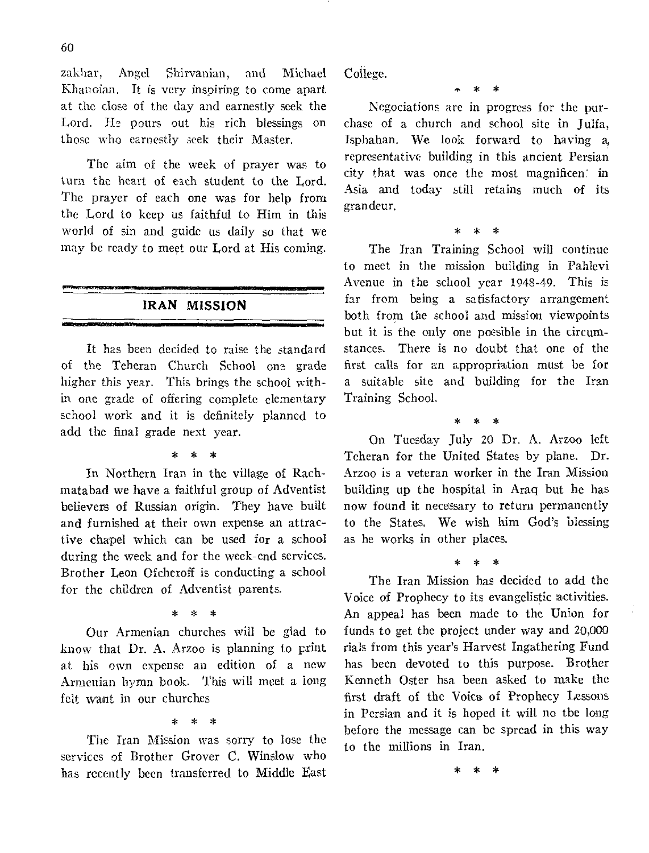zakhar, Angel Shirvanian, and Michael Khanoian. It is very inspiring to come apart at the close of the day and earnestly seek the Lord. He pours out his rich blessings on those who earnestly seek their Master.

The aim of the week of prayer was to turn the heart of each student to the Lord. The prayer of each one was for help from the Lord to keep us faithful to Him in this world of sin and guide us daily so that we may be ready to meet our Lord at His coming.

## **IRAN MISSION**

It has been decided to raise the standard of the Teheran Church School ono grade higher this year. This brings the school within one grade of offering complete elementary school work and it is definitely planned to add the final grade next year.

#### \* \* \*

In Northern Iran in the village of Rachmatabad we have a faithful group of Adventist believers of Russian origin. They have built and furnished at their own expense an attractive chapel which can be used for a school during the week and for the week-end services. Brother Leon Ofcheroff is conducting a school for the children of Adventist parents.

\* \* \*

Our Armenian churches will be glad to know that Dr. A. Arzoo is planning to print at his own expense an edition of a new Armenian hymn book. This will meet a long felt want in our churches

 $\rightarrow$ 

The Iran Mission was sorry to lose the services of Brother Grover C. Winslow who has recently been transferred to Middle East College.

\* \*

Negociations are in progress for the purchase of a church and school site in Julfa, Isphahan. We look forward to having a, representative building in this ancient Persian city that was once the rnost magnificen: in Asia and today still retains much of its grandeur.

# \* \* \*

The Iran Training School will continue to meet in the mission building in Pahlevi Avenue in the school year 1948-49. This is far from being a satisfactory arrangement both from the school and mission viewpoints but it is the only one possible in the circumstances. There is no doubt that one of the first calls for an appropriation must be for a suitable site and building for the Iran Training School.

\* \* \*

On Tuesday July 20 Dr. A. Arzoo left Teheran for the United States by plane. Dr. Arzoo is a veteran worker in the Iran Mission building up the hospital in Araq but he has now found it necessary to return permanently to the States. We wish him God's blessing as he works in other places.

# \* \* \*

The Iran Mission has decided to add the Voice of Prophecy to its evangelistic activities. An appeal has been made to the Union for funds to get the project under way and 20,000 rials from this year's Harvest Ingathering Fund has been devoted to this purpose. Brother Kenneth Oster hsa been asked to make the first draft of the Voico of Prophecy Lessons in Persian and it is hoped it will no the long before the message can be spread in this way to the millions in Iran.

60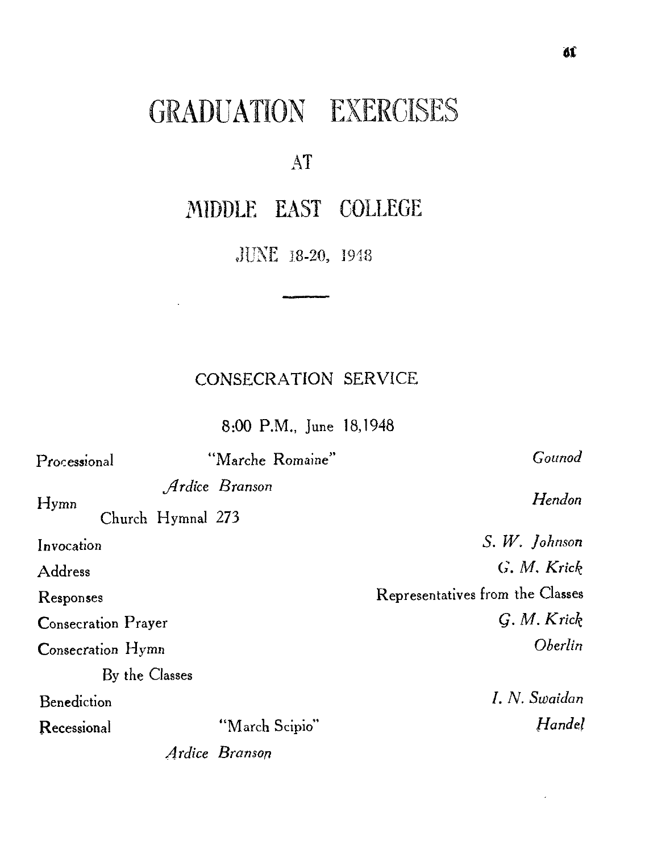# GRADUATION EXERCISES

# AT

# MIDDLE EAST COLLEGE

JUNE 18-20, 1918

 $\sim 10^{-10}$ 

# CONSECRATION SERVICE

8:00 P.M., June 18,1948

| Processional        | "Marche Romaine"                    | Gounod                           |
|---------------------|-------------------------------------|----------------------------------|
| Hymn                | Ardice Branson<br>Church Hymnal 273 | Hendon                           |
| Invocation          |                                     | $S. W.$ Johnson                  |
| Address             |                                     | G. M. Krick                      |
| Responses           |                                     | Representatives from the Classes |
| Consecration Prayer |                                     | $G. M.$ Krick                    |
| Consecration Hymn   |                                     | <i><b>Oberlin</b></i>            |
|                     | By the Classes                      |                                  |
| Benediction         |                                     | L. N. Swaidan                    |
| Recessional         | "March Scipio"                      | Handel                           |
|                     | Ardice Branson                      |                                  |

 $\bar{\epsilon}$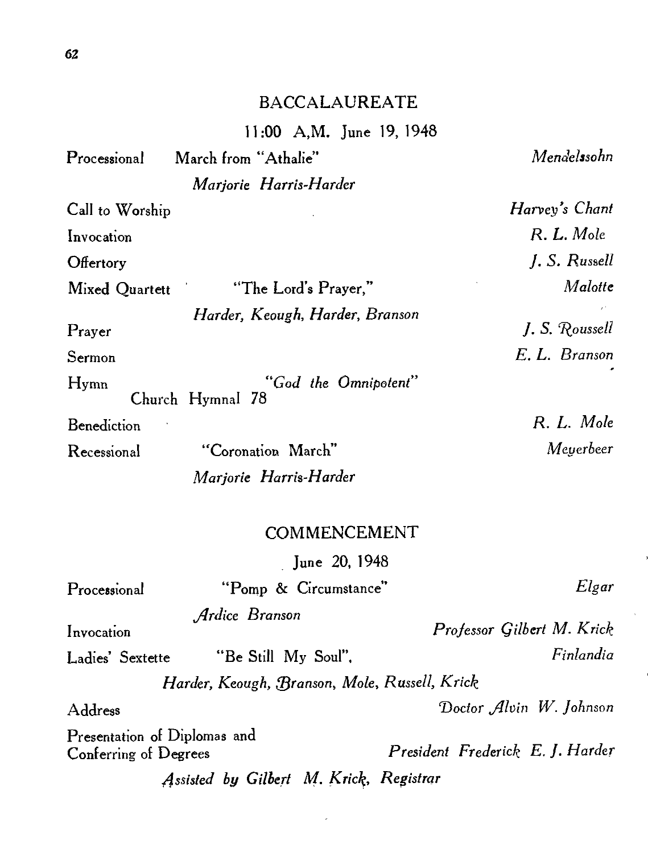# BACCALAUREATE

11:00 A,M. June 19, 1948

| $\mathbf{Processional}$                               | March from "Athalie"                          | Mendelssohn                          |
|-------------------------------------------------------|-----------------------------------------------|--------------------------------------|
|                                                       | Marjorie Harris-Harder                        |                                      |
| Call to Worship                                       |                                               | Harvey's Chant                       |
| Invocation                                            |                                               | R. L. Mole                           |
| Offertory                                             |                                               | J. S. Russell                        |
| Mixed Quartett                                        | "The Lord's Prayer,"                          | Malotte                              |
| Prayer                                                | Harder, Keough, Harder, Branson               | J. S. Roussell                       |
| Sermon                                                |                                               | E. L. Branson                        |
| Hymn                                                  | 'God the Omnipotent''<br>Church Hymnal 78     |                                      |
| Benediction                                           |                                               | R. L. Mole                           |
| Recessional                                           | "Coronation March"                            | Meyerbeer                            |
|                                                       | Marjorie Harris-Harder                        |                                      |
|                                                       | COMMENCEMENT                                  |                                      |
|                                                       | June 20, 1948                                 |                                      |
| Processional                                          | "Pomp & Circumstance"                         | Elgar                                |
| Invocation                                            | Ardice Branson                                | Professor Gilbert M. Krick           |
| Ladies' Sextette                                      | "Be Still My Soul",                           | Finlandia                            |
|                                                       | Harder, Keough, Branson, Mole, Russell, Krick |                                      |
| Address                                               |                                               | Doctor $\mathcal{A}$ lvin W. Johnson |
| Presentation of Diplomas and<br>Conferring of Degrees |                                               | President Frederick E. J. Harder     |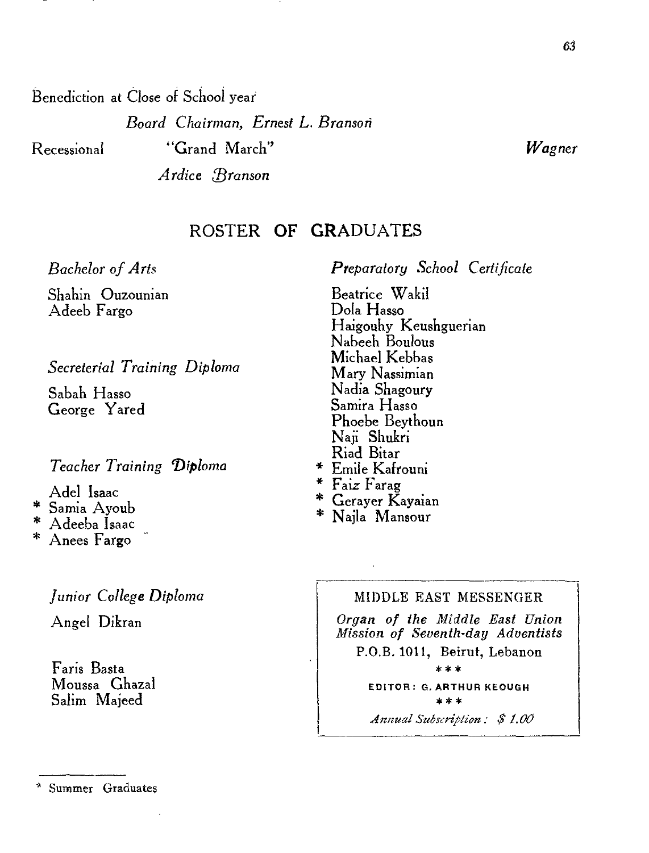Benediction at Close of School year

*Board Chairman, Ernest L. Branson* 

Recessional "Grand March" *Wagner* 

*Ardice,`Branson* 

ROSTER OF GRADUATES

*Bachelor of Arts* 

Shahin Ouzounian Adeeb Fargo

*Secreterial Training Diploma* 

Sabah Hasso George Yared

*Teacher Training Diploma* 

Adel Isaac

- \* Sarnia Ayoub
- Adeeba Isaac

Anees Fargo

# *Junior College Diploma*

Angel Dikran

Faris Basta Moussa Ghazal Salim Majeed

## Summer Graduates

*Preparatory School Certificate* 

Beatrice Wakil Dola Hasso Haigouhy Keushguerian Nabeeh Boulous Michael Kebbas Mary Nassimian Nadia Shagoury Samira Hasso Phoebe Beythoun Naji Shukri Riad Bitar

- Emile Kafrouni
- Faiz Farag
- Gerayer Kayaian
- Najla Mansour

## MIDDLE EAST MESSENGER

*Organ of the Middle East Union Mission of Seventh-day Adventists*  P.O.B. 1011, Beirut, Lebanon

\*\*\*

EDITOR: G. ARTHUR KEOUGH  $* * *$ 

*Annual Subscription : \$ 1.00*